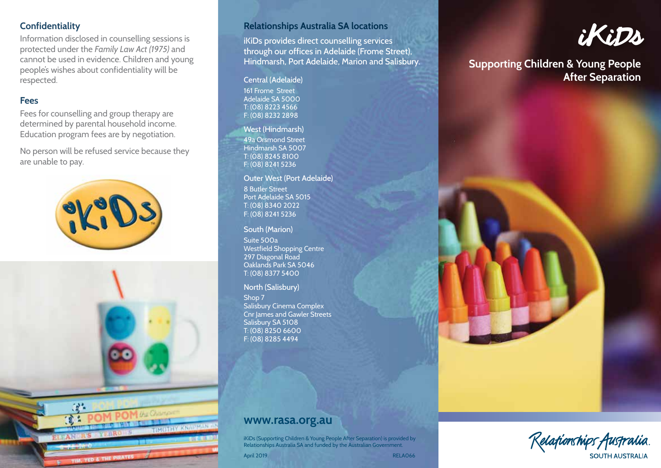# **Confidentiality**

Information disclosed in counselling sessions is protected under the *Family Law Act (1975)* and cannot be used in evidence. Children and young people's wishes about confidentiality will be respected.

# **Fees**

Fees for counselling and group therapy are determined by parental household income. Education program fees are by negotiation.

No person will be refused service because they are unable to pay.





# **Relationships Australia SA locations**

iKiDs provides direct counselling services through our offices in Adelaide (Frome Street), Hindmarsh, Port Adelaide, Marion and Salisbury.

161 Frome Street Adelaide SA 5000 T: (08) 8223 4566 F: (08) 8232 2898

#### West (Hindmarsh)

49a Orsmond Street Hindmarsh SA 5007 T: (08) 8245 8100 F: (08) 8241 5236

#### Outer West (Port Adelaide)

8 Butler Street Port Adelaide SA 5015 T: (08) 8340 2022 F: (08) 8241 5236

South (Marion) Suite 500a Westfield Shopping Centre 297 Diagonal Road Oaklands Park SA 5046 T: (08) 8377 5400

#### North (Salisbury)

Shop 7 Salisbury Cinema Complex Cnr James and Gawler Streets Salisbury SA 5108 T: (08) 8250 6600 F: (08) 8285 4494



# **Supporting Children & Young People**  Central (Adelaide) **After Separation**



iKiDs (Supporting Children & Young People After Separation) is provided by Relationships Australia SA and funded by the Australian Government.

April 2019 **RELAO66**